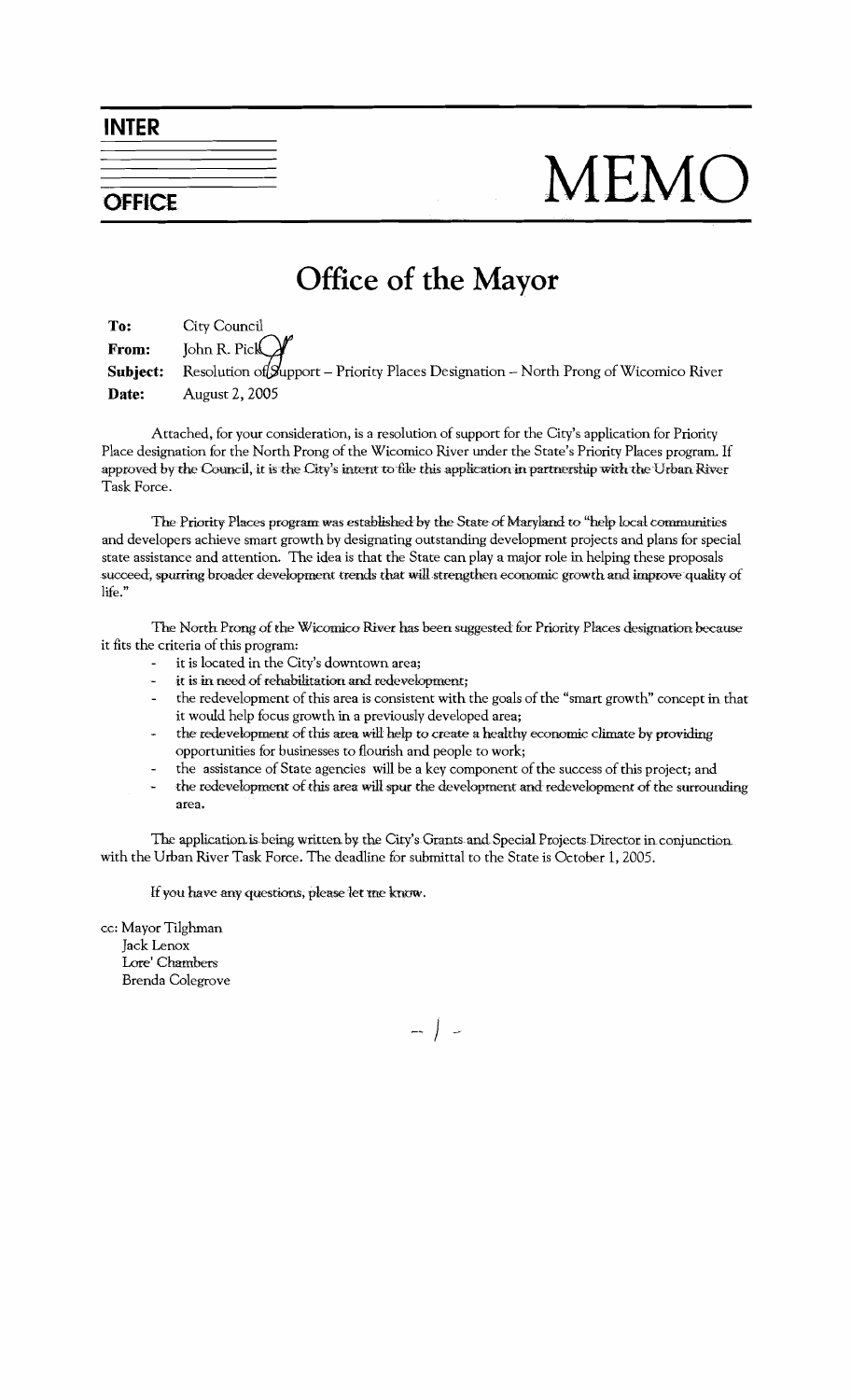**INTER** 

**OFFICE** 

## MEMC

## Office of the Mayor

To: City Council John R. Pick From: Resolution of Support – Priority Places Designation – North Prong of Wicomico River Subject: Date: August 2, 2005

Attached, for your consideration, is a resolution of support for the City's application for Priority Place designation for the North Prong of the Wicomico River under the State's Priority Places program. If approved by the Council, it is the City's intent to file this application in partnership with the Urban River Task Force.

The Priority Places program was established by the State of Maryland to "help local communities" and developers achieve smart growth by designating outstanding development projects and plans for special state assistance and attention. The idea is that the State can play a major role in helping these proposals succeed, spurring broader development trends that will strengthen economic growth and improve quality of life."

The North Prong of the Wicomico River has been suggested for Priority Places designation because it fits the criteria of this program:

- it is located in the City's downtown area;
- it is in need of rehabilitation and redevelopment;
- the redevelopment of this area is consistent with the goals of the "smart growth" concept in that it would help focus growth in a previously developed area;
- the redevelopment of this area will help to create a healthy economic climate by providing opportunities for businesses to flourish and people to work;
- the assistance of State agencies will be a key component of the success of this project; and  $\overline{a}$
- the redevelopment of this area will spur the development and redevelopment of the surrounding L. area.

The application is being written by the City's Grants and Special Projects Director in conjunction. with the Urban River Task Force. The deadline for submittal to the State is October 1, 2005.

If you have any questions, please let me know.

cc: Mayor Tilghman Jack Lenox Lore' Chambers Brenda Colegrove

 $-$  |  $-$